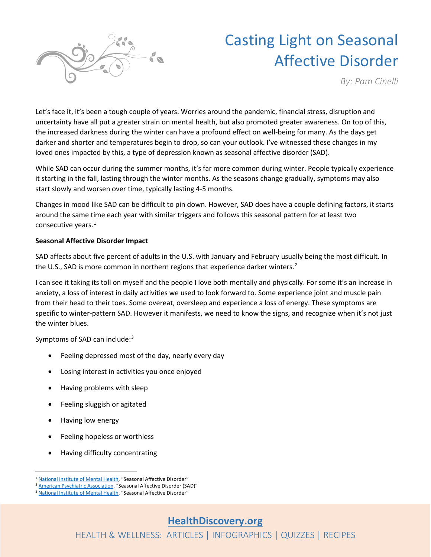

# Casting Light on Seasonal Affective Disorder

*By: Pam Cinelli*

Let's face it, it's been a tough couple of years. Worries around the pandemic, financial stress, disruption and uncertainty have all put a greater strain on mental health, but also promoted greater awareness. On top of this, the increased darkness during the winter can have a profound effect on well-being for many. As the days get darker and shorter and temperatures begin to drop, so can your outlook. I've witnessed these changes in my loved ones impacted by this, a type of depression known as seasonal affective disorder (SAD).

While SAD can occur during the summer months, it's far more common during winter. People typically experience it starting in the fall, lasting through the winter months. As the seasons change gradually, symptoms may also start slowly and worsen over time, typically lasting 4-5 months.

Changes in mood like SAD can be difficult to pin down. However, SAD does have a couple defining factors, it starts around the same time each year with similar triggers and follows this seasonal pattern for at least two consecutive years.<sup>[1](#page-0-0)</sup>

### **Seasonal Affective Disorder Impact**

SAD affects about five percent of adults in the U.S. with January and February usually being the most difficult. In the U.S., SAD is more common in northern regions that experience darker winters.<sup>[2](#page-0-1)</sup>

I can see it taking its toll on myself and the people I love both mentally and physically. For some it's an increase in anxiety, a loss of interest in daily activities we used to look forward to. Some experience joint and muscle pain from their head to their toes. Some overeat, oversleep and experience a loss of energy. These symptoms are specific to winter-pattern SAD. However it manifests, we need to know the signs, and recognize when it's not just the winter blues.

Symptoms of SAD can include:<sup>[3](#page-0-2)</sup>

- Feeling depressed most of the day, nearly every day
- Losing interest in activities you once enjoyed
- Having problems with sleep
- Feeling sluggish or agitated
- Having low energy
- Feeling hopeless or worthless
- Having difficulty concentrating

<span id="page-0-0"></span><sup>&</sup>lt;sup>1</sup> [National Institute of Mental Health,](https://www.nimh.nih.gov/health/publications/seasonal-affective-disorder) "Seasonal Affective Disorder"

<span id="page-0-1"></span>[American Psychiatric Association,](https://www.psychiatry.org/patients-families/depression/seasonal-affective-disorder) "Seasonal Affective Disorder (SAD)"

<span id="page-0-2"></span><sup>&</sup>lt;sup>3</sup> [National Institute of Mental Health,](https://www.nimh.nih.gov/health/publications/seasonal-affective-disorder) "Seasonal Affective Disorder"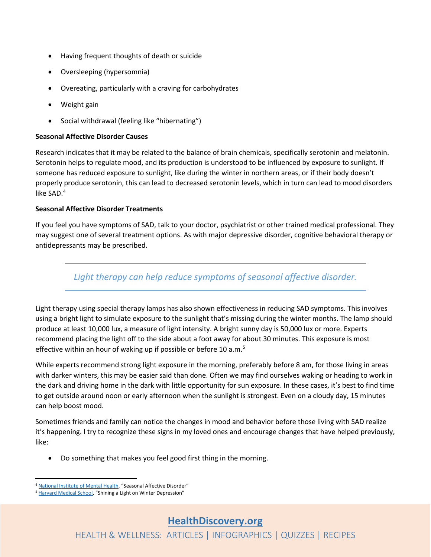- Having frequent thoughts of death or suicide
- Oversleeping (hypersomnia)
- Overeating, particularly with a craving for carbohydrates
- Weight gain
- Social withdrawal (feeling like "hibernating")

#### **Seasonal Affective Disorder Causes**

Research indicates that it may be related to the balance of brain chemicals, specifically serotonin and melatonin. Serotonin helps to regulate mood, and its production is understood to be influenced by exposure to sunlight. If someone has reduced exposure to sunlight, like during the winter in northern areas, or if their body doesn't properly produce serotonin, this can lead to decreased serotonin levels, which in turn can lead to mood disorders like SAD.[4](#page-1-0)

#### **Seasonal Affective Disorder Treatments**

If you feel you have symptoms of SAD, talk to your doctor, psychiatrist or other trained medical professional. They may suggest one of several treatment options. As with major depressive disorder, cognitive behavioral therapy or antidepressants may be prescribed.

## *Light therapy can help reduce symptoms of seasonal affective disorder.*

Light therapy using special therapy lamps has also shown effectiveness in reducing SAD symptoms. This involves using a bright light to simulate exposure to the sunlight that's missing during the winter months. The lamp should produce at least 10,000 lux, a measure of light intensity. A bright sunny day is 50,000 lux or more. Experts recommend placing the light off to the side about a foot away for about 30 minutes. This exposure is most effective within an hour of waking up if possible or before 10 a.m.<sup>[5](#page-1-1)</sup>

While experts recommend strong light exposure in the morning, preferably before 8 am, for those living in areas with darker winters, this may be easier said than done. Often we may find ourselves waking or heading to work in the dark and driving home in the dark with little opportunity for sun exposure. In these cases, it's best to find time to get outside around noon or early afternoon when the sunlight is strongest. Even on a cloudy day, 15 minutes can help boost mood.

Sometimes friends and family can notice the changes in mood and behavior before those living with SAD realize it's happening. I try to recognize these signs in my loved ones and encourage changes that have helped previously, like:

• Do something that makes you feel good first thing in the morning.

<span id="page-1-0"></span><sup>4</sup> [National Institute of Mental Health,](https://www.nimh.nih.gov/health/publications/seasonal-affective-disorder) "Seasonal Affective Disorder"

<span id="page-1-1"></span><sup>5</sup> [Harvard Medical School,](https://www.health.harvard.edu/mind-and-mood/shining-a-light-on-winter-depression) "Shining a Light on Winter Depression"